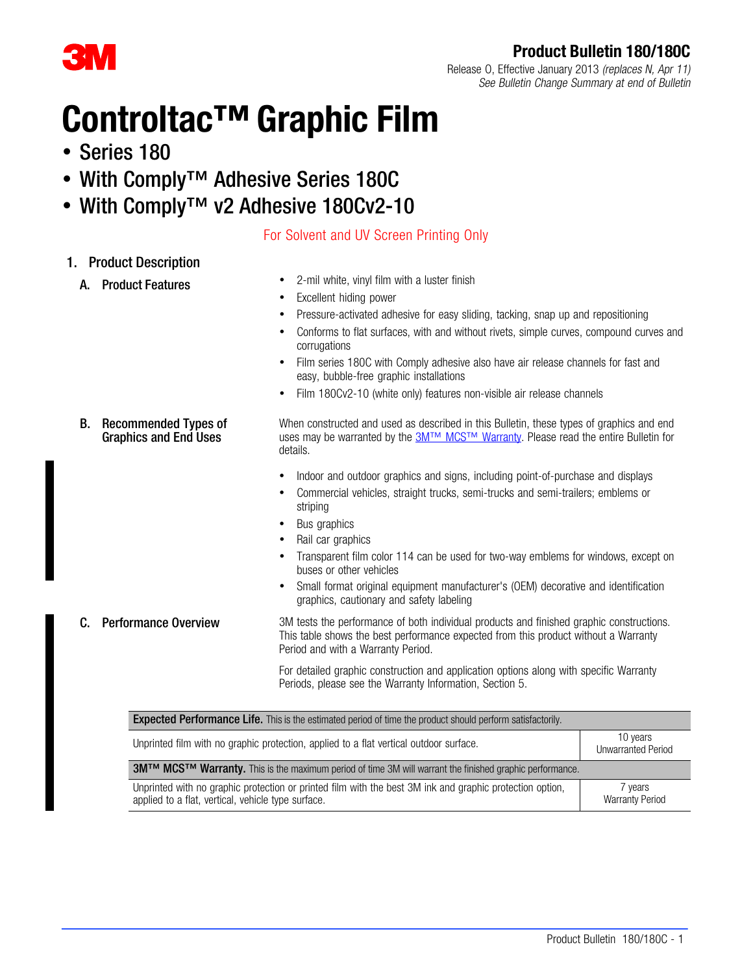# Product Bulletin 180/180C

COVI

### Release O, Effective January 2013 (replaces N, Apr 11) See Bulletin Change Summary at end of Bulletin

# Controltac™ Graphic Film

- Series 180
- With Comply™ Adhesive Series 180C
- With Comply™ v2 Adhesive 180Cv2-10

# For Solvent and UV Screen Printing Only

# 1. Product Description

- 
- A. Product Features 2-mil white, vinyl film with a luster finish
	- Excellent hiding power
	- Pressure-activated adhesive for easy sliding, tacking, snap up and repositioning
	- Conforms to flat surfaces, with and without rivets, simple curves, compound curves and corrugations
	- Film series 180C with Comply adhesive also have air release channels for fast and easy, bubble-free graphic installations
	- Film 180Cv2-10 (white only) features non-visible air release channels

When constructed and used as described in this Bulletin, these types of graphics and end uses may be warranted by the [3M™ MCS™ Warranty](http://multimedia.3m.com/mws/mediawebserver?mwsId=66666UuZjcFSLXTtmxfaLxMaEVuQEcuZgVs6EVs6E666666--&fn=GMC%20Warranty.pdf). Please read the entire Bulletin for details.

- Indoor and outdoor graphics and signs, including point-of-purchase and displays
- Commercial vehicles, straight trucks, semi-trucks and semi-trailers; emblems or striping
- Bus graphics
- Rail car graphics
- Transparent film color 114 can be used for two-way emblems for windows, except on buses or other vehicles
- Small format original equipment manufacturer's (OEM) decorative and identification graphics, cautionary and safety labeling
- 

B. Recommended Types of Graphics and End Uses

**C.** Performance Overview 3M tests the performance of both individual products and finished graphic constructions. This table shows the best performance expected from this product without a Warranty Period and with a Warranty Period.

> For detailed graphic construction and application options along with specific Warranty Periods, please see the Warranty Information, Section [5.](#page-4-0)

| <b>Expected Performance Life.</b> This is the estimated period of time the product should perform satisfactorily.                                              |                                 |  |  |  |  |
|----------------------------------------------------------------------------------------------------------------------------------------------------------------|---------------------------------|--|--|--|--|
| 10 years<br>Unprinted film with no graphic protection, applied to a flat vertical outdoor surface.<br><b>Unwarranted Period</b>                                |                                 |  |  |  |  |
| 3M™ MCS™ Warranty. This is the maximum period of time 3M will warrant the finished graphic performance.                                                        |                                 |  |  |  |  |
| Unprinted with no graphic protection or printed film with the best 3M ink and graphic protection option,<br>applied to a flat, vertical, vehicle type surface. | wears<br><b>Warranty Period</b> |  |  |  |  |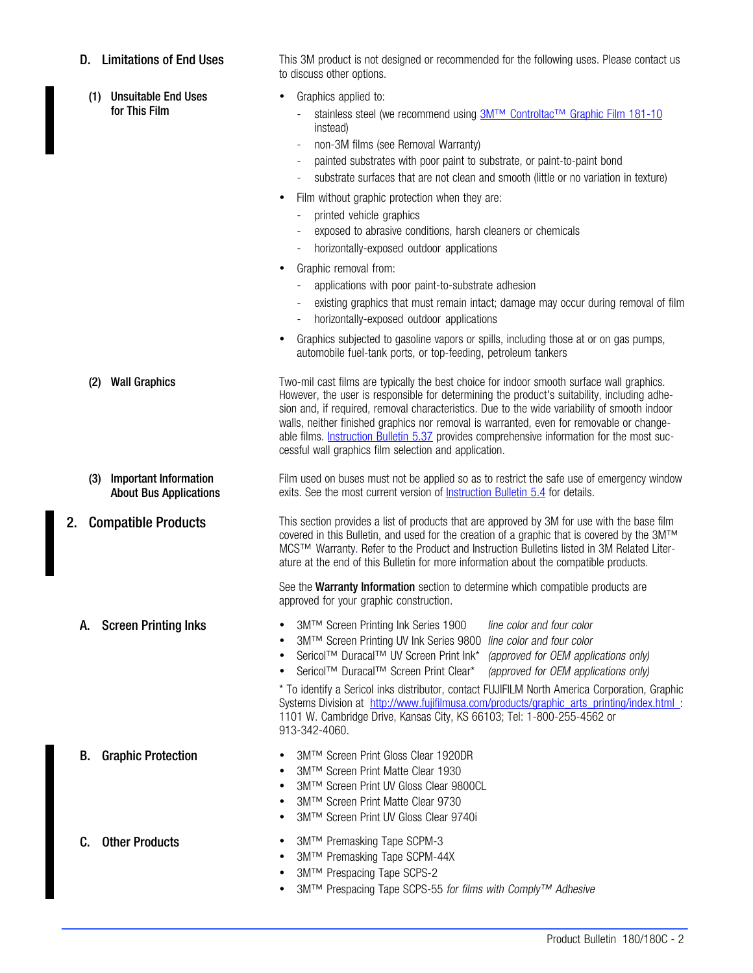(1) Unsuitable End Uses for This Film

**D.** Limitations of End Uses This 3M product is not designed or recommended for the following uses. Please contact us to discuss other options.

- Graphics applied to:
	- stainless steel (we recommend using [3M™ Controltac™ Graphic Film 181-10](http://multimedia.mmm.com/mws/mediawebserver.dyn?6666660Zjcf6lVs6EVs666s6ACOrrrrQ-) instead)
	- non-3M films (see Removal Warranty)
	- painted substrates with poor paint to substrate, or paint-to-paint bond
	- substrate surfaces that are not clean and smooth (little or no variation in texture)
- Film without graphic protection when they are:
	- printed vehicle graphics
	- exposed to abrasive conditions, harsh cleaners or chemicals
	- horizontally-exposed outdoor applications
- Graphic removal from:
	- applications with poor paint-to-substrate adhesion
	- existing graphics that must remain intact; damage may occur during removal of film
	- horizontally-exposed outdoor applications
- Graphics subjected to gasoline vapors or spills, including those at or on gas pumps, automobile fuel-tank ports, or top-feeding, petroleum tankers

(2) Wall Graphics Two-mil cast films are typically the best choice for indoor smooth surface wall graphics. However, the user is responsible for determining the product's suitability, including adhesion and, if required, removal characteristics. Due to the wide variability of smooth indoor walls, neither finished graphics nor removal is warranted, even for removable or changeable films. **Instruction Bulletin 5.37** provides comprehensive information for the most successful wall graphics film selection and application.

> Film used on buses must not be applied so as to restrict the safe use of emergency window exits. See the most current version of **Instruction Bulletin 5.4** for details.

2. Compatible Products This section provides a list of products that are approved by 3M for use with the base film covered in this Bulletin, and used for the creation of a graphic that is covered by the 3M™ MCS™ Warranty. Refer to the Product and Instruction Bulletins listed in 3M Related Literature at the end of this Bulletin for more information about the compatible products.

> See the Warranty Information section to determine which compatible products are approved for your graphic construction.

(3) Important Information About Bus Applications

- A. Screen Printing Inks 3M™ Screen Printing Ink Series 1900 line color and four color
	- 3M™ Screen Printing UV Ink Series 9800 line color and four color
	- Sericol™ Duracal™ UV Screen Print Ink\* (approved for OEM applications only)
	- Sericol™ Duracal™ Screen Print Clear<sup>\*</sup> (approved for OEM applications only)

\* To identify a Sericol inks distributor, contact FUJIFILM North America Corporation, Graphic Systems Division at [http://www.fujifilmusa.com/products/graphic\\_arts\\_printing/index.html](http://www.fujifilmusa.com/products/graphic_arts_printing/index.html) : 1101 W. Cambridge Drive, Kansas City, KS 66103; Tel: 1-800-255-4562 or 913-342-4060.

- B. Graphic Protection 3M™ Screen Print Gloss Clear 1920DR
	- 3M™ Screen Print Matte Clear 1930
	- 3M™ Screen Print UV Gloss Clear 9800CL
	- 3M™ Screen Print Matte Clear 9730
	- 3M™ Screen Print UV Gloss Clear 9740i
- C. Other Products 3M™ Premasking Tape SCPM-3
	- 3M™ Premasking Tape SCPM-44X
	- 3M™ Prespacing Tape SCPS-2
	- 3M™ Prespacing Tape SCPS-55 for films with Comply™ Adhesive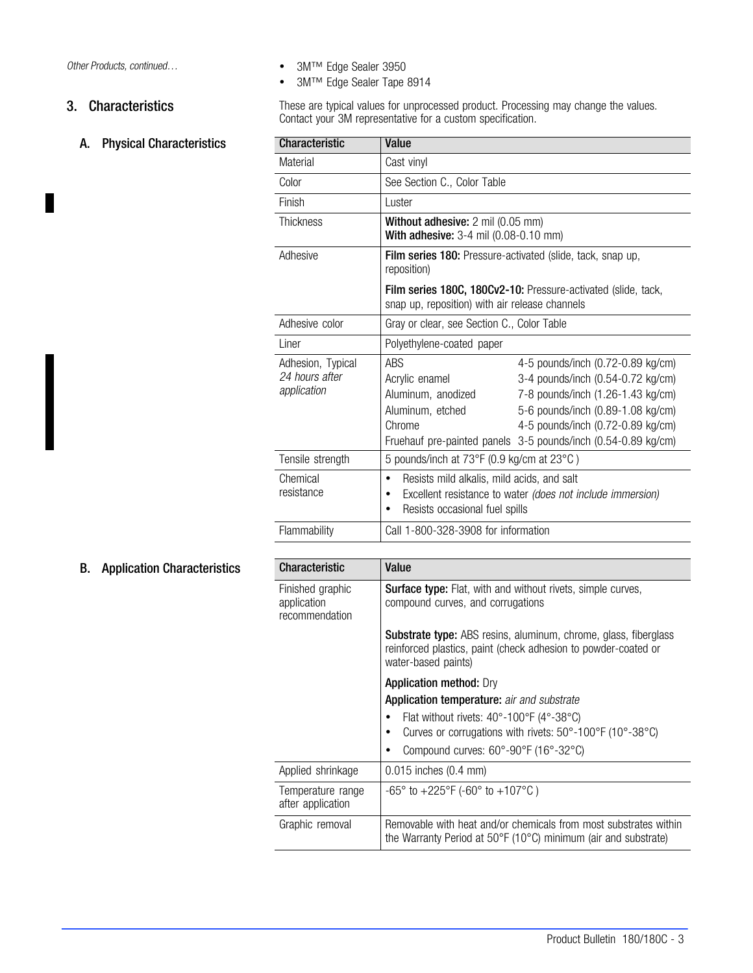П

# A. Physical Characteristics

Other Products, continued... 
■ 3M™ Edge Sealer 3950

3M™ Edge Sealer Tape 8914

3. Characteristics These are typical values for unprocessed product. Processing may change the values. Contact your 3M representative for a custom specification.

| <b>Characteristic</b>                              | Value                                                                                       |                                                                                                                                                                                                                                                        |  |  |  |  |  |  |
|----------------------------------------------------|---------------------------------------------------------------------------------------------|--------------------------------------------------------------------------------------------------------------------------------------------------------------------------------------------------------------------------------------------------------|--|--|--|--|--|--|
| Material                                           | Cast vinyl                                                                                  |                                                                                                                                                                                                                                                        |  |  |  |  |  |  |
| Color                                              | See Section C., Color Table                                                                 |                                                                                                                                                                                                                                                        |  |  |  |  |  |  |
| Finish                                             | Luster                                                                                      |                                                                                                                                                                                                                                                        |  |  |  |  |  |  |
| Thickness                                          |                                                                                             | Without adhesive: 2 mil (0.05 mm)<br>With adhesive: 3-4 mil (0.08-0.10 mm)                                                                                                                                                                             |  |  |  |  |  |  |
| Adhesive                                           | reposition)                                                                                 | Film series 180: Pressure-activated (slide, tack, snap up,                                                                                                                                                                                             |  |  |  |  |  |  |
|                                                    | snap up, reposition) with air release channels                                              | Film series 180C, 180Cv2-10: Pressure-activated (slide, tack,                                                                                                                                                                                          |  |  |  |  |  |  |
| Adhesive color                                     | Gray or clear, see Section C., Color Table                                                  |                                                                                                                                                                                                                                                        |  |  |  |  |  |  |
| Liner                                              | Polyethylene-coated paper                                                                   |                                                                                                                                                                                                                                                        |  |  |  |  |  |  |
| Adhesion, Typical<br>24 hours after<br>application | ABS<br>Acrylic enamel<br>Aluminum, anodized<br>Aluminum, etched<br>Chrome                   | 4-5 pounds/inch (0.72-0.89 kg/cm)<br>3-4 pounds/inch (0.54-0.72 kg/cm)<br>7-8 pounds/inch (1.26-1.43 kg/cm)<br>5-6 pounds/inch (0.89-1.08 kg/cm)<br>4-5 pounds/inch (0.72-0.89 kg/cm)<br>Fruehauf pre-painted panels 3-5 pounds/inch (0.54-0.89 kg/cm) |  |  |  |  |  |  |
| Tensile strength                                   | 5 pounds/inch at 73°F (0.9 kg/cm at 23°C)                                                   |                                                                                                                                                                                                                                                        |  |  |  |  |  |  |
| Chemical<br>resistance                             | Resists mild alkalis, mild acids, and salt<br>٠<br>٠<br>Resists occasional fuel spills<br>٠ | Excellent resistance to water (does not include immersion)                                                                                                                                                                                             |  |  |  |  |  |  |
| Flammability                                       | Call 1-800-328-3908 for information                                                         |                                                                                                                                                                                                                                                        |  |  |  |  |  |  |
| Charactorietic                                     | فينافلا                                                                                     |                                                                                                                                                                                                                                                        |  |  |  |  |  |  |

# **B.** Application Characteristics

| <b>Characteristic</b>                             | Value                                                                                                                                                           |
|---------------------------------------------------|-----------------------------------------------------------------------------------------------------------------------------------------------------------------|
| Finished graphic<br>application<br>recommendation | <b>Surface type:</b> Flat, with and without rivets, simple curves,<br>compound curves, and corrugations                                                         |
|                                                   | <b>Substrate type:</b> ABS resins, aluminum, chrome, glass, fiberglass<br>reinforced plastics, paint (check adhesion to powder-coated or<br>water-based paints) |
|                                                   | <b>Application method: Dry</b>                                                                                                                                  |
|                                                   | <b>Application temperature:</b> air and substrate                                                                                                               |
|                                                   | Flat without rivets: $40^{\circ}$ -100°F (4°-38°C)                                                                                                              |
|                                                   | Curves or corrugations with rivets: 50°-100°F (10°-38°C)                                                                                                        |
|                                                   | Compound curves: $60^{\circ}$ -90 $^{\circ}$ F (16 $^{\circ}$ -32 $^{\circ}$ C)                                                                                 |
| Applied shrinkage                                 | $0.015$ inches $(0.4 \text{ mm})$                                                                                                                               |
| Temperature range<br>after application            | $-65^{\circ}$ to $+225^{\circ}$ F (-60° to $+107^{\circ}$ C)                                                                                                    |
| Graphic removal                                   | Removable with heat and/or chemicals from most substrates within<br>the Warranty Period at 50°F (10°C) minimum (air and substrate)                              |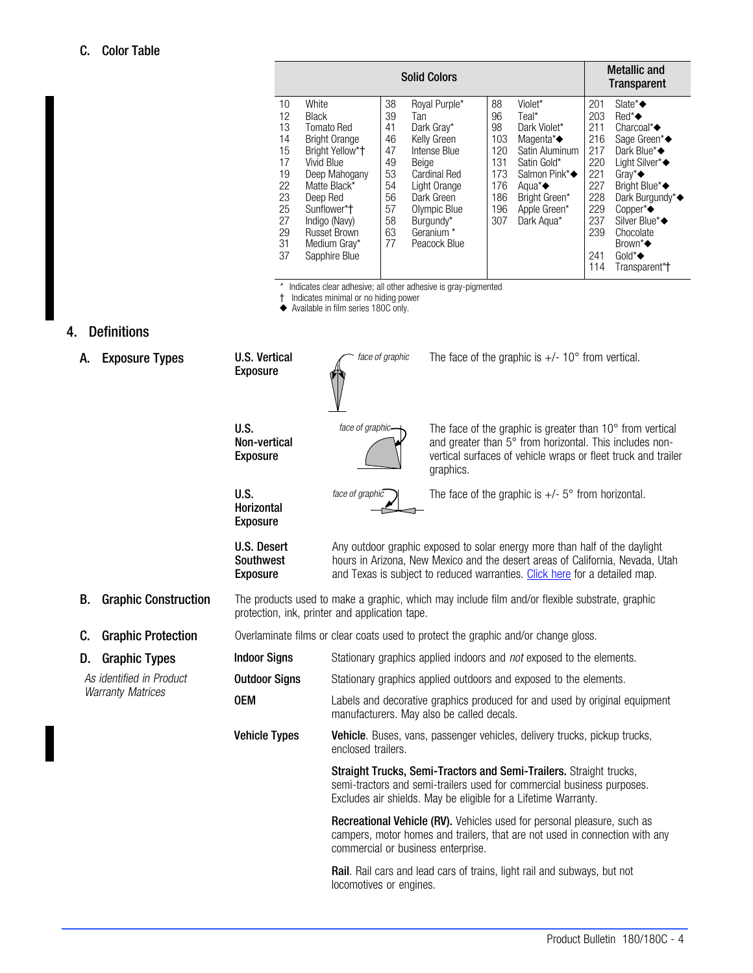<span id="page-3-0"></span>

|    |                             |    | <b>Metallic and</b><br>Transparent |     |                                |     |                             |
|----|-----------------------------|----|------------------------------------|-----|--------------------------------|-----|-----------------------------|
| 10 | White                       | 38 | Royal Purple*                      | 88  | Violet*                        | 201 | Slate* $\triangle$          |
| 12 | <b>Black</b>                | 39 | Tan                                | 96  | Teal*                          | 203 | $Red^*$                     |
| 13 | Tomato Red                  | 41 | Dark Gray*                         | 98  | Dark Violet*                   | 211 | Charcoal* $\blacklozenge$   |
| 14 | <b>Bright Orange</b>        | 46 | Kelly Green                        | 103 | Magenta*◆                      | 216 | Sage Green*◆                |
| 15 | Bright Yellow* <sup>+</sup> | 47 | Intense Blue                       | 120 | Satin Aluminum                 | 217 | Dark Blue*◆                 |
| 17 | Vivid Blue                  | 49 | Beige                              | 131 | Satin Gold*                    | 220 | Light Silver*◆              |
| 19 | Deep Mahogany               | 53 | Cardinal Red                       | 173 | Salmon Pink*◆                  | 221 | Grav <sup>*</sup> $\bullet$ |
| 22 | Matte Black*                | 54 | Light Orange                       | 176 | Agua <sup><math>*</math></sup> | 227 | Bright Blue*◆               |
| 23 | Deep Red                    | 56 | Dark Green                         | 186 | Bright Green*                  | 228 | Dark Burgundy*◆             |
| 25 | Sunflower*t                 | 57 | Olympic Blue                       | 196 | Apple Green*                   | 229 | Copper* $\blacklozenge$     |
| 27 | Indigo (Navy)               | 58 | Burgundy*                          | 307 | Dark Agua*                     | 237 | Silver Blue*◆               |
| 29 | <b>Russet Brown</b>         | 63 | Geranium *                         |     |                                | 239 | Chocolate                   |
| 31 | Medium Gray*                | 77 | Peacock Blue                       |     |                                |     | Brown*◆                     |
| 37 | Sapphire Blue               |    |                                    |     |                                | 241 | Gold*◆                      |
|    |                             |    |                                    |     |                                | 114 | Transparent*†               |

\* Indicates clear adhesive; all other adhesive is gray-pigmented

- Indicates minimal or no hiding power

Available in film series 180C only.

# 4. Definitions

| A. | <b>Exposure Types</b>       | <b>U.S. Vertical</b><br><b>Exposure</b>            | face of graphic                                | The face of the graphic is $+/- 10^{\circ}$ from vertical.                                                                                                                                                                                |
|----|-----------------------------|----------------------------------------------------|------------------------------------------------|-------------------------------------------------------------------------------------------------------------------------------------------------------------------------------------------------------------------------------------------|
|    |                             | U.S.<br>Non-vertical<br><b>Exposure</b>            | face of graphic-                               | The face of the graphic is greater than 10° from vertical<br>and greater than 5° from horizontal. This includes non-<br>vertical surfaces of vehicle wraps or fleet truck and trailer<br>graphics.                                        |
|    |                             | U.S.<br>Horizontal<br><b>Exposure</b>              | face of graphic                                | The face of the graphic is $+/-$ 5° from horizontal.                                                                                                                                                                                      |
|    |                             | U.S. Desert<br><b>Southwest</b><br><b>Exposure</b> |                                                | Any outdoor graphic exposed to solar energy more than half of the daylight<br>hours in Arizona, New Mexico and the desert areas of California, Nevada, Utah<br>and Texas is subject to reduced warranties. Click here for a detailed map. |
| В. | <b>Graphic Construction</b> |                                                    | protection, ink, printer and application tape. | The products used to make a graphic, which may include film and/or flexible substrate, graphic                                                                                                                                            |
| C. | <b>Graphic Protection</b>   |                                                    |                                                | Overlaminate films or clear coats used to protect the graphic and/or change gloss.                                                                                                                                                        |
| D. | <b>Graphic Types</b>        | <b>Indoor Signs</b>                                |                                                | Stationary graphics applied indoors and <i>not</i> exposed to the elements.                                                                                                                                                               |
|    | As identified in Product    | <b>Outdoor Signs</b>                               |                                                | Stationary graphics applied outdoors and exposed to the elements.                                                                                                                                                                         |
|    | <b>Warranty Matrices</b>    | <b>OEM</b>                                         |                                                | Labels and decorative graphics produced for and used by original equipment<br>manufacturers. May also be called decals.                                                                                                                   |
|    |                             | <b>Vehicle Types</b>                               | enclosed trailers.                             | Vehicle. Buses, vans, passenger vehicles, delivery trucks, pickup trucks,                                                                                                                                                                 |
|    |                             |                                                    |                                                | Straight Trucks, Semi-Tractors and Semi-Trailers. Straight trucks,<br>semi-tractors and semi-trailers used for commercial business purposes.<br>Excludes air shields. May be eligible for a Lifetime Warranty.                            |
|    |                             |                                                    | commercial or business enterprise.             | Recreational Vehicle (RV). Vehicles used for personal pleasure, such as<br>campers, motor homes and trailers, that are not used in connection with any                                                                                    |
|    |                             |                                                    | locomotives or engines.                        | Rail. Rail cars and lead cars of trains, light rail and subways, but not                                                                                                                                                                  |
|    |                             |                                                    |                                                |                                                                                                                                                                                                                                           |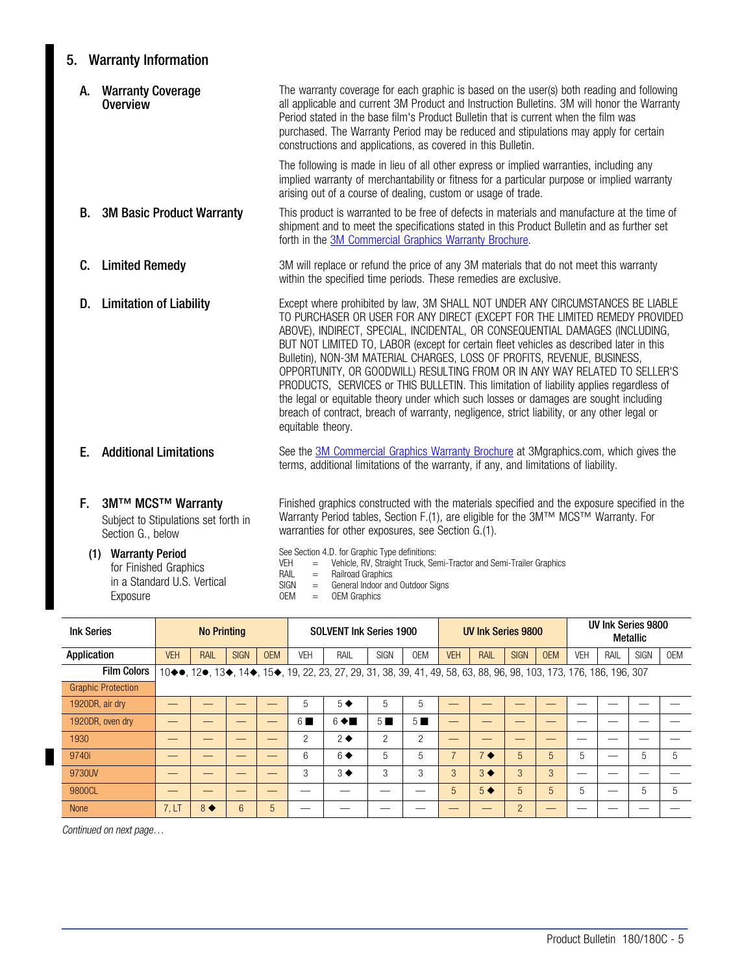# <span id="page-4-0"></span>5. Warranty Information

|    | A. Warranty Coverage<br><b>Overview</b>                                        | The warranty coverage for each graphic is based on the user(s) both reading and following<br>all applicable and current 3M Product and Instruction Bulletins. 3M will honor the Warranty<br>Period stated in the base film's Product Bulletin that is current when the film was<br>purchased. The Warranty Period may be reduced and stipulations may apply for certain<br>constructions and applications, as covered in this Bulletin.                                                                                                                                                                                                                                                                                                                                                                  |
|----|--------------------------------------------------------------------------------|----------------------------------------------------------------------------------------------------------------------------------------------------------------------------------------------------------------------------------------------------------------------------------------------------------------------------------------------------------------------------------------------------------------------------------------------------------------------------------------------------------------------------------------------------------------------------------------------------------------------------------------------------------------------------------------------------------------------------------------------------------------------------------------------------------|
|    |                                                                                | The following is made in lieu of all other express or implied warranties, including any<br>implied warranty of merchantability or fitness for a particular purpose or implied warranty<br>arising out of a course of dealing, custom or usage of trade.                                                                                                                                                                                                                                                                                                                                                                                                                                                                                                                                                  |
|    | <b>B.</b> 3M Basic Product Warranty                                            | This product is warranted to be free of defects in materials and manufacture at the time of<br>shipment and to meet the specifications stated in this Product Bulletin and as further set<br>forth in the 3M Commercial Graphics Warranty Brochure.                                                                                                                                                                                                                                                                                                                                                                                                                                                                                                                                                      |
| C. | <b>Limited Remedy</b>                                                          | 3M will replace or refund the price of any 3M materials that do not meet this warranty<br>within the specified time periods. These remedies are exclusive.                                                                                                                                                                                                                                                                                                                                                                                                                                                                                                                                                                                                                                               |
| D. | <b>Limitation of Liability</b>                                                 | Except where prohibited by law, 3M SHALL NOT UNDER ANY CIRCUMSTANCES BE LIABLE<br>TO PURCHASER OR USER FOR ANY DIRECT (EXCEPT FOR THE LIMITED REMEDY PROVIDED<br>ABOVE), INDIRECT, SPECIAL, INCIDENTAL, OR CONSEQUENTIAL DAMAGES (INCLUDING,<br>BUT NOT LIMITED TO, LABOR (except for certain fleet vehicles as described later in this<br>Bulletin), NON-3M MATERIAL CHARGES, LOSS OF PROFITS, REVENUE, BUSINESS,<br>OPPORTUNITY, OR GOODWILL) RESULTING FROM OR IN ANY WAY RELATED TO SELLER'S<br>PRODUCTS, SERVICES or THIS BULLETIN. This limitation of liability applies regardless of<br>the legal or equitable theory under which such losses or damages are sought including<br>breach of contract, breach of warranty, negligence, strict liability, or any other legal or<br>equitable theory. |
| Е. | <b>Additional Limitations</b>                                                  | See the 3M Commercial Graphics Warranty Brochure at 3Mgraphics.com, which gives the<br>terms, additional limitations of the warranty, if any, and limitations of liability.                                                                                                                                                                                                                                                                                                                                                                                                                                                                                                                                                                                                                              |
| Е. | 3M™ MCS™ Warranty<br>Subject to Stipulations set forth in<br>Section G., below | Finished graphics constructed with the materials specified and the exposure specified in the<br>Warranty Period tables, Section F.(1), are eligible for the 3M™ MCS™ Warranty. For<br>warranties for other exposures, see Section G.(1).                                                                                                                                                                                                                                                                                                                                                                                                                                                                                                                                                                 |

# (1) Warranty Period for Finished Graphics

in a Standard U.S. Vertical Exposure

See Section [4.D.](#page-3-0) for Graphic Type definitions:

- VEH = Vehicle, RV, Straight Truck, Semi-Tractor and Semi-Trailer Graphics
	-
- RAIL = Railroad Graphics<br>SIGN = General Indoor and SIGN = General Indoor and Outdoor Signs<br>OEM = OEM Graphics
	- = OEM Graphics

| <b>Ink Series</b>         | <b>No Printing</b> |      |             |            | <b>SOLVENT Ink Series 1900</b> |                                                                                                                    |                | UV Ink Series 9800 |            |      |             | UV Ink Series 9800<br>Metallic |            |      |             |     |
|---------------------------|--------------------|------|-------------|------------|--------------------------------|--------------------------------------------------------------------------------------------------------------------|----------------|--------------------|------------|------|-------------|--------------------------------|------------|------|-------------|-----|
| Application               | <b>VEH</b>         | RAIL | <b>SIGN</b> | <b>OEM</b> | <b>VEH</b>                     | RAIL                                                                                                               | <b>SIGN</b>    | <b>OEM</b>         | <b>VEH</b> | RAIL | <b>SIGN</b> | <b>OEM</b>                     | <b>VEH</b> | RAIL | <b>SIGN</b> | OEM |
| <b>Film Colors</b>        |                    |      |             |            |                                | 10◆●, 12●, 13◆, 14◆, 15◆, 19, 22, 23, 27, 29, 31, 38, 39, 41, 49, 58, 63, 88, 96, 98, 103, 173, 176, 186, 196, 307 |                |                    |            |      |             |                                |            |      |             |     |
| <b>Graphic Protection</b> |                    |      |             |            |                                |                                                                                                                    |                |                    |            |      |             |                                |            |      |             |     |
| 1920DR, air dry           |                    |      |             |            |                                | $5^{\bullet}$                                                                                                      |                | $\mathfrak{b}$     | _          |      |             |                                |            |      |             |     |
| 1920DR, oven dry          |                    |      |             |            | 6 L                            | $6 \triangleleft \blacksquare$                                                                                     | 5 <sub>1</sub> | $5 \blacksquare$   |            |      |             |                                |            |      |             |     |

1930 — — — — 2 2 2 2 — — — — — — — — 9740i – | — | — | — | 6 | 6◆ | 5 | 7 | 7◆ | 5 | 5 | 5 | — | 5 | 5

9730UV — — — — 3 3 3 3 3 3 3 3 — — — — 9800CL — — — — — — — — 5 5 5 5 5 — 5 5 None 7, LT 8 6 5 — — — — — — 2 — — — — —

Continued on next page…

L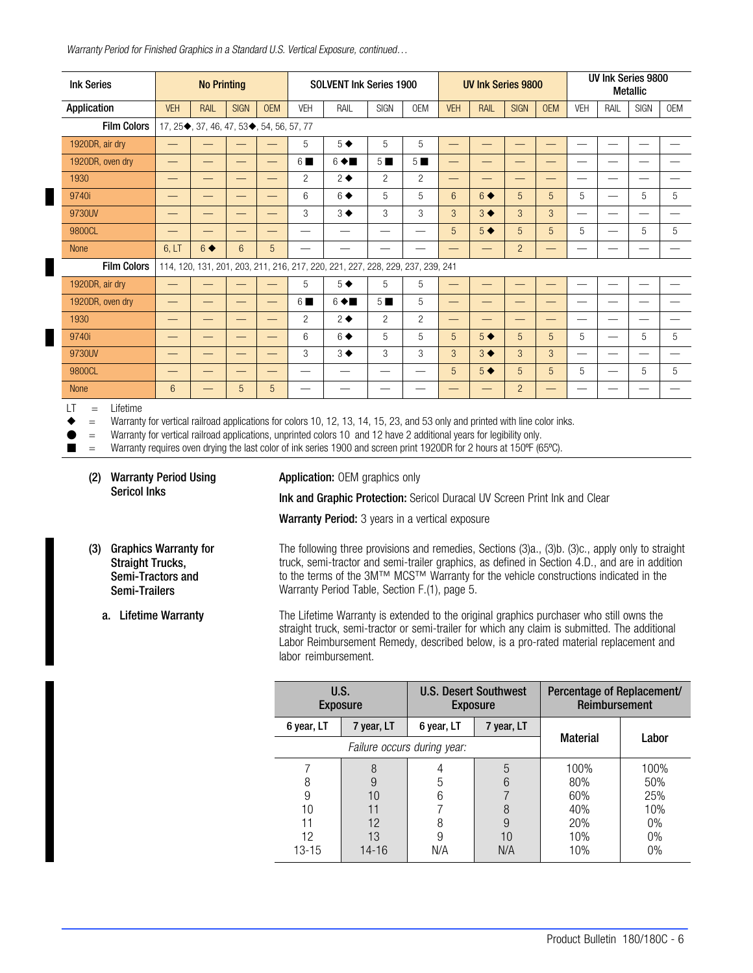<span id="page-5-0"></span>Warranty Period for Finished Graphics in a Standard U.S. Vertical Exposure, continued...

| <b>Ink Series</b>                                      | <b>No Printing</b>                                                                                                                                                                                                                                                                                                                                                           |                                          |                          |                          | <b>SOLVENT Ink Series 1900</b> |                                                                                |                  |                  |             | <b>UV Ink Series 9800</b> |                |                   |                          | UV Ink Series 9800<br><b>Metallic</b> |             |            |  |
|--------------------------------------------------------|------------------------------------------------------------------------------------------------------------------------------------------------------------------------------------------------------------------------------------------------------------------------------------------------------------------------------------------------------------------------------|------------------------------------------|--------------------------|--------------------------|--------------------------------|--------------------------------------------------------------------------------|------------------|------------------|-------------|---------------------------|----------------|-------------------|--------------------------|---------------------------------------|-------------|------------|--|
| Application                                            | <b>VEH</b>                                                                                                                                                                                                                                                                                                                                                                   | RAIL                                     | <b>SIGN</b>              | <b>OEM</b>               | <b>VEH</b>                     | RAIL                                                                           | <b>SIGN</b>      | <b>OEM</b>       | <b>VEH</b>  | RAIL                      | <b>SIGN</b>    | <b>OEM</b>        | <b>VEH</b>               | RAIL                                  | <b>SIGN</b> | <b>OEM</b> |  |
| <b>Film Colors</b>                                     |                                                                                                                                                                                                                                                                                                                                                                              | 17, 25,, 37, 46, 47, 53,, 54, 56, 57, 77 |                          |                          |                                |                                                                                |                  |                  |             |                           |                |                   |                          |                                       |             |            |  |
| 1920DR, air dry                                        |                                                                                                                                                                                                                                                                                                                                                                              |                                          |                          |                          | 5                              | $5 \blacklozenge$                                                              | 5                | 5                |             |                           |                | -                 |                          |                                       |             |            |  |
| 1920DR, oven dry                                       | —                                                                                                                                                                                                                                                                                                                                                                            | --                                       | $\overline{\phantom{0}}$ | --                       | 6■                             | $6 \triangleleft$                                                              | $5 \blacksquare$ | $5 \blacksquare$ | —           |                           |                | —                 | –                        |                                       |             |            |  |
| 1930                                                   |                                                                                                                                                                                                                                                                                                                                                                              |                                          | $\overline{\phantom{0}}$ |                          | $\overline{2}$                 | $2 \bullet$                                                                    | $\overline{2}$   | $\overline{2}$   |             |                           |                | -                 |                          |                                       |             |            |  |
| 9740i                                                  |                                                                                                                                                                                                                                                                                                                                                                              | --                                       | $\overline{\phantom{0}}$ |                          | 6                              | $6 \blacklozenge$                                                              | 5                | 5                | 6           | $6 \blacklozenge$         | 5              | 5                 | 5                        | $\overline{\phantom{0}}$              | 5           | 5          |  |
| 9730UV                                                 |                                                                                                                                                                                                                                                                                                                                                                              | —                                        | $\overline{\phantom{0}}$ |                          | 3                              | $3 \blacklozenge$                                                              | 3                | 3                | 3           | $3 \blacklozenge$         | 3              | 3                 | $\overline{\phantom{0}}$ | -                                     |             |            |  |
| 9800CL                                                 |                                                                                                                                                                                                                                                                                                                                                                              |                                          |                          |                          |                                |                                                                                |                  |                  | 5           | $5 \blacklozenge$         | 5              | 5                 | 5                        |                                       | 5           | 5          |  |
| <b>None</b>                                            | 6. LT                                                                                                                                                                                                                                                                                                                                                                        | $6 \blacklozenge$                        | $6\overline{6}$          | 5                        |                                |                                                                                |                  |                  |             |                           | $\overline{2}$ | ٠                 |                          |                                       |             |            |  |
| <b>Film Colors</b>                                     |                                                                                                                                                                                                                                                                                                                                                                              |                                          |                          |                          |                                | 114, 120, 131, 201, 203, 211, 216, 217, 220, 221, 227, 228, 229, 237, 239, 241 |                  |                  |             |                           |                |                   |                          |                                       |             |            |  |
| 1920DR, air dry                                        |                                                                                                                                                                                                                                                                                                                                                                              |                                          |                          |                          | 5                              | $5 \blacklozenge$                                                              | 5                | 5                |             |                           |                | —                 |                          |                                       |             |            |  |
| 1920DR, oven dry                                       |                                                                                                                                                                                                                                                                                                                                                                              | --                                       | $\overline{\phantom{0}}$ | $\overline{\phantom{0}}$ | 6■                             | $6 \triangleleft \blacksquare$                                                 | $5 \blacksquare$ | 5                | —           |                           |                | —                 | —                        | —                                     |             |            |  |
| 1930                                                   |                                                                                                                                                                                                                                                                                                                                                                              | —                                        | $\overline{\phantom{0}}$ | —                        | $\overline{c}$                 | $2 \triangleleft$                                                              | $\overline{2}$   | $\overline{2}$   |             |                           | –              | $\qquad \qquad -$ | $\overline{\phantom{0}}$ | $\overline{\phantom{0}}$              |             |            |  |
| 9740i                                                  |                                                                                                                                                                                                                                                                                                                                                                              |                                          | $\overline{\phantom{0}}$ |                          | 6                              | $6 \blacklozenge$                                                              | 5                | 5                | 5           | $5 \blacklozenge$         | 5              | 5                 | 5                        |                                       | 5           | 5          |  |
| 9730UV                                                 | —                                                                                                                                                                                                                                                                                                                                                                            | _                                        | $\overline{\phantom{0}}$ | —                        | 3                              | $3 \blacklozenge$                                                              | 3                | 3                | 3           | $3 \blacklozenge$         | 3              | 3                 | $\overline{\phantom{0}}$ | $\overline{\phantom{0}}$              |             |            |  |
| 9800CL                                                 |                                                                                                                                                                                                                                                                                                                                                                              | –                                        | —                        |                          |                                |                                                                                |                  |                  | $5^{\circ}$ | $5 \blacklozenge$         | 5              | 5                 | 5                        | $\overline{\phantom{0}}$              | 5           | 5          |  |
| <b>None</b>                                            | $6\phantom{1}$                                                                                                                                                                                                                                                                                                                                                               | —                                        | 5                        | 5                        |                                |                                                                                |                  |                  |             |                           | $\overline{2}$ |                   | -                        |                                       |             |            |  |
| $\mathsf{I}$ T<br>Lifetime<br>$=$<br>$=$<br>$=$<br>$=$ | Warranty for vertical railroad applications for colors 10, 12, 13, 14, 15, 23, and 53 only and printed with line color inks.<br>Warranty for vertical railroad applications, unprinted colors 10 and 12 have 2 additional years for legibility only.<br>Warranty requires oven drying the last color of ink series 1900 and screen print 1920DR for 2 hours at 150°F (65°C). |                                          |                          |                          |                                |                                                                                |                  |                  |             |                           |                |                   |                          |                                       |             |            |  |

(2) Warranty Period Using Sericol Inks

Application: OEM graphics only

Ink and Graphic Protection: Sericol Duracal UV Screen Print Ink and Clear

Warranty Period: 3 years in a vertical exposure

(3) Graphics Warranty for Straight Trucks, Semi-Tractors and Semi-Trailers

The following three provisions and remedies, Sections (3)a., (3)[b.](#page-6-0) (3[\)c.,](#page-6-0) apply only to straight truck, semi-tractor and semi-trailer graphics, as defined in Section [4.D.](#page-3-0), and are in addition to the terms of the 3M™ MCS™ Warranty for the vehicle constructions indicated in the Warranty Period Table, Section [F.](#page-4-0)(1), page [5.](#page-4-0)

a. Lifetime Warranty The Lifetime Warranty is extended to the original graphics purchaser who still owns the straight truck, semi-tractor or semi-trailer for which any claim is submitted. The additional Labor Reimbursement Remedy, described below, is a pro-rated material replacement and labor reimbursement.

| U.S.       | <b>Exposure</b> |                             | <b>U.S. Desert Southwest</b><br><b>Exposure</b> | Percentage of Replacement/<br>Reimbursement |       |  |  |  |
|------------|-----------------|-----------------------------|-------------------------------------------------|---------------------------------------------|-------|--|--|--|
| 6 year, LT | 7 year, LT      | 6 year, LT                  | 7 year, LT                                      |                                             |       |  |  |  |
|            |                 | Failure occurs during year: |                                                 | <b>Material</b>                             | Labor |  |  |  |
|            | 8               |                             | 5                                               | 100%                                        | 100%  |  |  |  |
| 8          | 9               | 5                           | 80%<br>հ                                        |                                             | 50%   |  |  |  |
| 9          | 10              | 6                           |                                                 | 60%                                         | 25%   |  |  |  |
| 10         |                 |                             | 8                                               | 40%                                         | 10%   |  |  |  |
| 11         | 12              |                             | 9                                               | 20%                                         | 0%    |  |  |  |
| 12         | 13              | 9                           | 10                                              | 10%                                         | 0%    |  |  |  |
| 13-15      | $14 - 16$       | N/A                         | N/A                                             | 10%                                         | 0%    |  |  |  |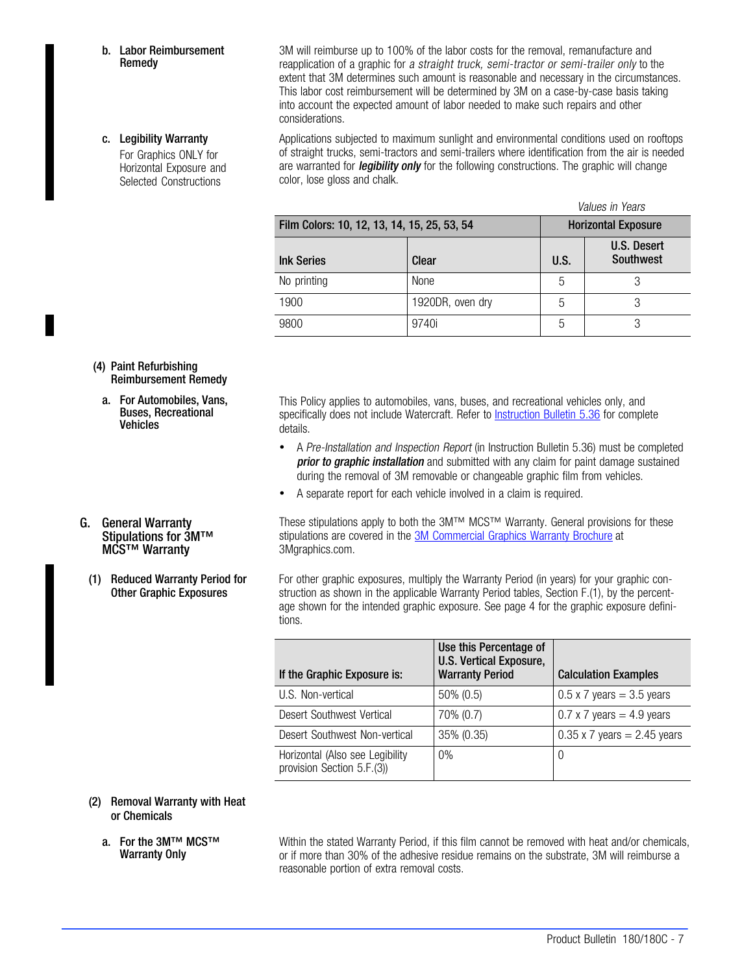<span id="page-6-0"></span>b. Labor Reimbursement Remedy

### c. Legibility Warranty

For Graphics ONLY for Horizontal Exposure and Selected Constructions

3M will reimburse up to 100% of the labor costs for the removal, remanufacture and reapplication of a graphic for a straight truck, semi-tractor or semi-trailer only to the extent that 3M determines such amount is reasonable and necessary in the circumstances. This labor cost reimbursement will be determined by 3M on a case-by-case basis taking into account the expected amount of labor needed to make such repairs and other considerations.

Applications subjected to maximum sunlight and environmental conditions used on rooftops of straight trucks, semi-tractors and semi-trailers where identification from the air is needed are warranted for *legibility only* for the following constructions. The graphic will change color, lose gloss and chalk.

|                                             |                            |      | Values in Years          |  |  |  |
|---------------------------------------------|----------------------------|------|--------------------------|--|--|--|
| Film Colors: 10, 12, 13, 14, 15, 25, 53, 54 | <b>Horizontal Exposure</b> |      |                          |  |  |  |
| <b>Ink Series</b>                           | Clear                      | U.S. | U.S. Desert<br>Southwest |  |  |  |
| No printing                                 | None                       | 5    |                          |  |  |  |
| 1900                                        | 1920DR, oven dry           | 5    | 3                        |  |  |  |
| 9800                                        | 9740i                      | 5    | 3                        |  |  |  |

### (4) Paint Refurbishing Reimbursement Remedy

a. For Automobiles, Vans, Buses, Recreational **Vehicles** 

G. General Warranty

Stipulations for 3M™ MCS™ Warranty

(1) Reduced Warranty Period for Other Graphic Exposures

This Policy applies to automobiles, vans, buses, and recreational vehicles only, and specifically does not include Watercraft. Refer to [Instruction Bulletin 5.36](http://multimedia.mmm.com/mws/mediawebserver.dyn?6666660Zjcf6lVs6EVs666aE9COrrrrQ-) for complete details.

- A Pre-Installation and Inspection Report (in Instruction Bulletin 5.36) must be completed prior to graphic installation and submitted with any claim for paint damage sustained during the removal of 3M removable or changeable graphic film from vehicles.
- A separate report for each vehicle involved in a claim is required.

These stipulations apply to both the 3M™ MCS™ Warranty. General provisions for these stipulations are covered in the [3M Commercial Graphics Warranty Brochure a](http://multimedia.3m.com/mws/mediawebserver?mwsId=SSSSSufSevTsZxtUN8_UM8mZevUqevTSevTSevTSeSSSSSS--&fn=3M%20Commercial%20Graphics%20Warranty)t 3Mgraphics.com.

For other graphic exposures, multiply the Warranty Period (in years) for your graphic construction as shown in the applicable Warranty Period tables, Section [F.\(1\),](#page-4-0) by the percentage shown for the intended graphic exposure. See page [4](#page-3-0) for the graphic exposure definitions.

| If the Graphic Exposure is:                                   | Use this Percentage of<br>U.S. Vertical Exposure,<br><b>Warranty Period</b> | <b>Calculation Examples</b>        |
|---------------------------------------------------------------|-----------------------------------------------------------------------------|------------------------------------|
| U.S. Non-vertical                                             | $50\%$ (0.5)                                                                | $0.5 \times 7$ years = 3.5 years   |
| Desert Southwest Vertical                                     | 70% (0.7)                                                                   | $0.7 \times 7$ years = 4.9 years   |
| Desert Southwest Non-vertical                                 | 35% (0.35)                                                                  | $0.35 \times 7$ years = 2.45 years |
| Horizontal (Also see Legibility<br>provision Section 5.F.(3)) | $0\%$                                                                       | $\cup$                             |

### (2) Removal Warranty with Heat or Chemicals

a. For the 3M™ MCS™ Warranty Only

Within the stated Warranty Period, if this film cannot be removed with heat and/or chemicals, or if more than 30% of the adhesive residue remains on the substrate, 3M will reimburse a reasonable portion of extra removal costs.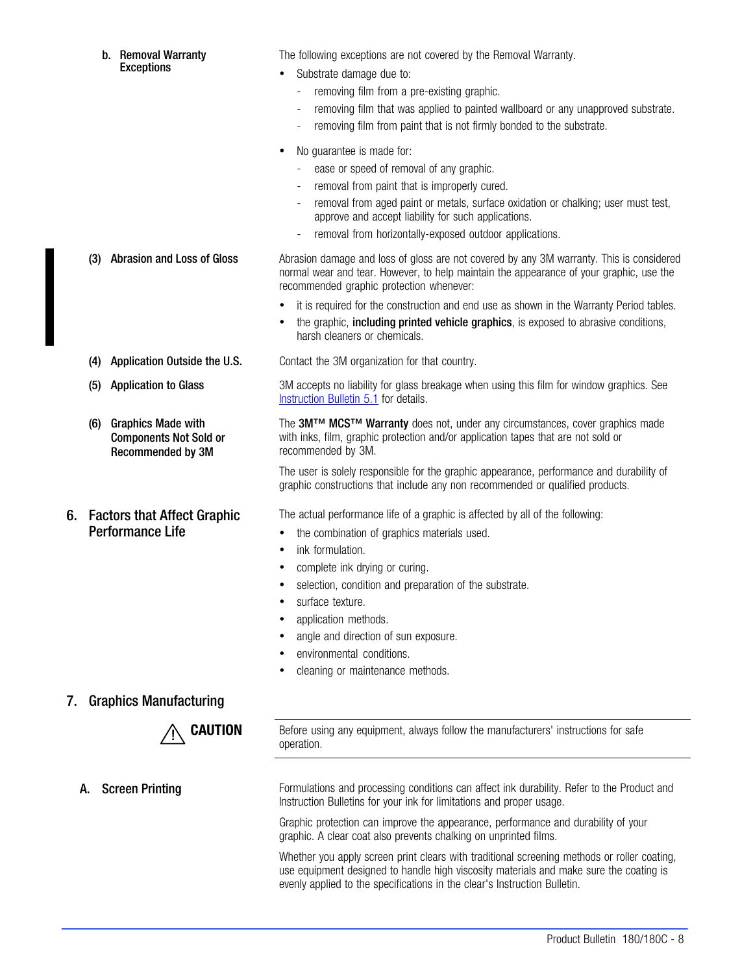|    |     | b. Removal Warranty<br><b>Exceptions</b>                                        | The following exceptions are not covered by the Removal Warranty.<br>Substrate damage due to:<br>$\bullet$<br>removing film from a pre-existing graphic.<br>removing film that was applied to painted wallboard or any unapproved substrate.<br>removing film from paint that is not firmly bonded to the substrate.         |
|----|-----|---------------------------------------------------------------------------------|------------------------------------------------------------------------------------------------------------------------------------------------------------------------------------------------------------------------------------------------------------------------------------------------------------------------------|
|    |     |                                                                                 | No guarantee is made for:<br>ease or speed of removal of any graphic.<br>removal from paint that is improperly cured.<br>removal from aged paint or metals, surface oxidation or chalking; user must test,<br>approve and accept liability for such applications.<br>removal from horizontally-exposed outdoor applications. |
|    | (3) | <b>Abrasion and Loss of Gloss</b>                                               | Abrasion damage and loss of gloss are not covered by any 3M warranty. This is considered<br>normal wear and tear. However, to help maintain the appearance of your graphic, use the<br>recommended graphic protection whenever:                                                                                              |
|    |     |                                                                                 | it is required for the construction and end use as shown in the Warranty Period tables.<br>the graphic, including printed vehicle graphics, is exposed to abrasive conditions,<br>$\bullet$<br>harsh cleaners or chemicals.                                                                                                  |
|    | (4) | Application Outside the U.S.                                                    | Contact the 3M organization for that country.                                                                                                                                                                                                                                                                                |
|    | (5) | <b>Application to Glass</b>                                                     | 3M accepts no liability for glass breakage when using this film for window graphics. See<br>Instruction Bulletin 5.1 for details.                                                                                                                                                                                            |
|    | (6) | <b>Graphics Made with</b><br><b>Components Not Sold or</b><br>Recommended by 3M | The 3M™ MCS™ Warranty does not, under any circumstances, cover graphics made<br>with inks, film, graphic protection and/or application tapes that are not sold or<br>recommended by 3M.                                                                                                                                      |
|    |     |                                                                                 | The user is solely responsible for the graphic appearance, performance and durability of<br>graphic constructions that include any non recommended or qualified products.                                                                                                                                                    |
| 6. |     | <b>Factors that Affect Graphic</b><br><b>Performance Life</b>                   | The actual performance life of a graphic is affected by all of the following:<br>the combination of graphics materials used.<br>$\bullet$<br>ink formulation.<br>$\bullet$<br>complete ink drying or curing.<br>selection, condition and preparation of the substrate.                                                       |

- surface texture.
- application methods.
- angle and direction of sun exposure.
- environmental conditions.
- cleaning or maintenance methods.

## 7. Graphics Manufacturing



**CAUTION** Before using any equipment, always follow the manufacturers' instructions for safe operation.

A. Screen Printing **Formulations and processing conditions can affect ink durability. Refer to the Product and** Instruction Bulletins for your ink for limitations and proper usage.

> Graphic protection can improve the appearance, performance and durability of your graphic. A clear coat also prevents chalking on unprinted films.

Whether you apply screen print clears with traditional screening methods or roller coating, use equipment designed to handle high viscosity materials and make sure the coating is evenly applied to the specifications in the clear's Instruction Bulletin.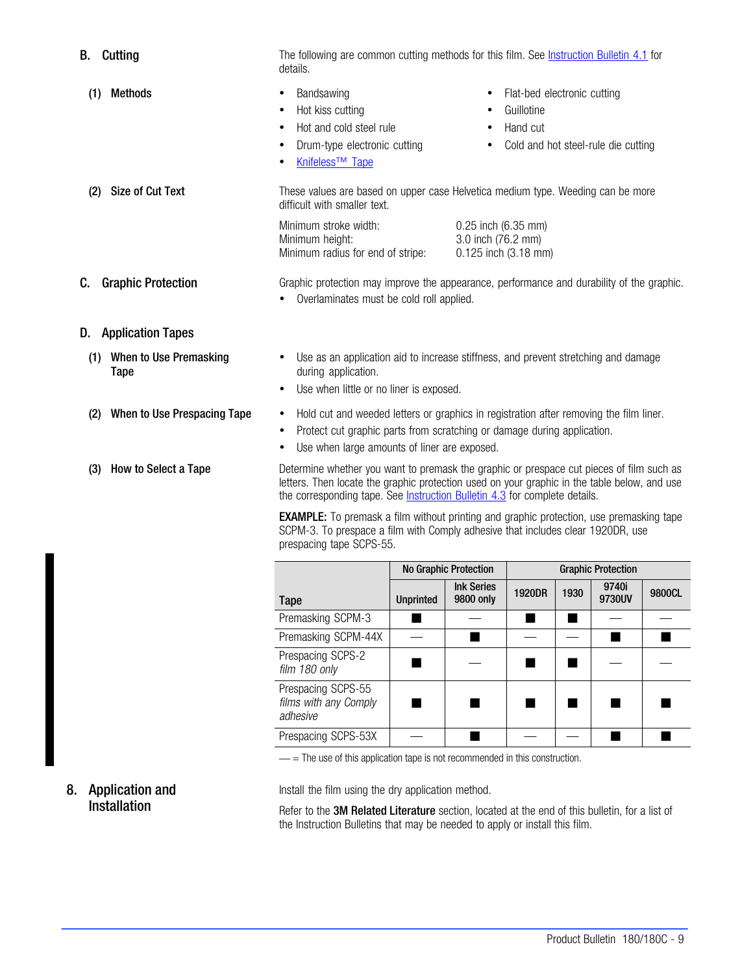| <b>B.</b> Cutting                     | The following are common cutting methods for this film. See <b>Instruction Bulletin 4.1</b> for<br>details.                                                                                                                                                                   |                                                                                 |                                                                   |                                                       |                           |                                     |        |  |
|---------------------------------------|-------------------------------------------------------------------------------------------------------------------------------------------------------------------------------------------------------------------------------------------------------------------------------|---------------------------------------------------------------------------------|-------------------------------------------------------------------|-------------------------------------------------------|---------------------------|-------------------------------------|--------|--|
| <b>Methods</b><br>(1)                 | Bandsawing<br>Hot kiss cutting<br>Hot and cold steel rule<br>٠<br>Drum-type electronic cutting<br>Knifeless <sup>™</sup> Tape                                                                                                                                                 |                                                                                 |                                                                   | Flat-bed electronic cutting<br>Guillotine<br>Hand cut |                           | Cold and hot steel-rule die cutting |        |  |
| <b>Size of Cut Text</b><br>(2)        | difficult with smaller text.                                                                                                                                                                                                                                                  | These values are based on upper case Helvetica medium type. Weeding can be more |                                                                   |                                                       |                           |                                     |        |  |
|                                       | Minimum stroke width:<br>Minimum height:<br>Minimum radius for end of stripe:                                                                                                                                                                                                 |                                                                                 | 0.25 inch (6.35 mm)<br>3.0 inch (76.2 mm)<br>0.125 inch (3.18 mm) |                                                       |                           |                                     |        |  |
| <b>Graphic Protection</b><br>C.       | Graphic protection may improve the appearance, performance and durability of the graphic.<br>Overlaminates must be cold roll applied.                                                                                                                                         |                                                                                 |                                                                   |                                                       |                           |                                     |        |  |
| <b>Application Tapes</b><br>D.        |                                                                                                                                                                                                                                                                               |                                                                                 |                                                                   |                                                       |                           |                                     |        |  |
| When to Use Premasking<br>(1)<br>Tape | Use as an application aid to increase stiffness, and prevent stretching and damage<br>during application.<br>Use when little or no liner is exposed.                                                                                                                          |                                                                                 |                                                                   |                                                       |                           |                                     |        |  |
| When to Use Prespacing Tape<br>(2)    | Hold cut and weeded letters or graphics in registration after removing the film liner.<br>٠<br>Protect cut graphic parts from scratching or damage during application.<br>Use when large amounts of liner are exposed.                                                        |                                                                                 |                                                                   |                                                       |                           |                                     |        |  |
| How to Select a Tape<br>(3)           | Determine whether you want to premask the graphic or prespace cut pieces of film such as<br>letters. Then locate the graphic protection used on your graphic in the table below, and use<br>the corresponding tape. See <b>Instruction Bulletin 4.3</b> for complete details. |                                                                                 |                                                                   |                                                       |                           |                                     |        |  |
|                                       | <b>EXAMPLE:</b> To premask a film without printing and graphic protection, use premasking tape<br>SCPM-3. To prespace a film with Comply adhesive that includes clear 1920DR, use<br>prespacing tape SCPS-55.                                                                 |                                                                                 |                                                                   |                                                       |                           |                                     |        |  |
|                                       |                                                                                                                                                                                                                                                                               | No Graphic Protection                                                           |                                                                   |                                                       | <b>Graphic Protection</b> |                                     |        |  |
|                                       | <b>Tape</b>                                                                                                                                                                                                                                                                   | <b>Unprinted</b>                                                                | <b>Ink Series</b><br>9800 only                                    | 1920DR                                                | 1930                      | 9740i<br>9730UV                     | 9800CL |  |
|                                       | Premasking SCPM-3                                                                                                                                                                                                                                                             | ▅                                                                               |                                                                   | ■                                                     | ■                         |                                     |        |  |
|                                       | Premasking SCPM-44X                                                                                                                                                                                                                                                           |                                                                                 | $\blacksquare$                                                    |                                                       |                           | $\blacksquare$                      | ■      |  |
|                                       | Prespacing SCPS-2<br>film 180 only                                                                                                                                                                                                                                            | ш                                                                               |                                                                   | ٠                                                     | ٠                         |                                     |        |  |
|                                       | Prespacing SCPS-55<br>films with any Comply<br>adhesive                                                                                                                                                                                                                       |                                                                                 |                                                                   |                                                       | ٠                         |                                     |        |  |

- = The use of this application tape is not recommended in this construction.

# 8. Application and Installation

Install the film using the dry application method.

Refer to the 3M Related Literature section, located at the end of this bulletin, for a list of the Instruction Bulletins that may be needed to apply or install this film.

Prespacing SCPS-53X — — —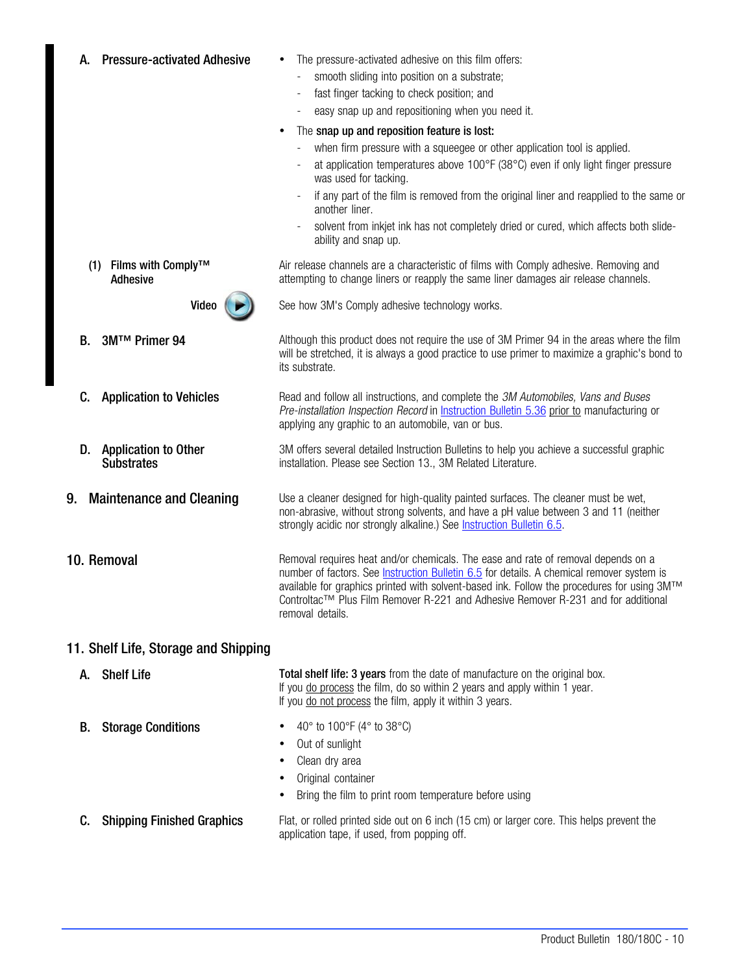| <b>Pressure-activated Adhesive</b><br>А.               | The pressure-activated adhesive on this film offers:<br>smooth sliding into position on a substrate;<br>fast finger tacking to check position; and<br>easy snap up and repositioning when you need it.<br>$\qquad \qquad -$<br>The snap up and reposition feature is lost:<br>$\bullet$<br>when firm pressure with a squeegee or other application tool is applied.<br>$\blacksquare$<br>at application temperatures above 100°F (38°C) even if only light finger pressure<br>was used for tacking.<br>if any part of the film is removed from the original liner and reapplied to the same or<br>another liner.<br>solvent from inkjet ink has not completely dried or cured, which affects both slide-<br>ability and snap up. |
|--------------------------------------------------------|----------------------------------------------------------------------------------------------------------------------------------------------------------------------------------------------------------------------------------------------------------------------------------------------------------------------------------------------------------------------------------------------------------------------------------------------------------------------------------------------------------------------------------------------------------------------------------------------------------------------------------------------------------------------------------------------------------------------------------|
| (1) Films with Comply™<br><b>Adhesive</b>              | Air release channels are a characteristic of films with Comply adhesive. Removing and<br>attempting to change liners or reapply the same liner damages air release channels.                                                                                                                                                                                                                                                                                                                                                                                                                                                                                                                                                     |
| Video                                                  | See how 3M's Comply adhesive technology works.                                                                                                                                                                                                                                                                                                                                                                                                                                                                                                                                                                                                                                                                                   |
| 3M™ Primer 94<br>В.                                    | Although this product does not require the use of 3M Primer 94 in the areas where the film<br>will be stretched, it is always a good practice to use primer to maximize a graphic's bond to<br>its substrate.                                                                                                                                                                                                                                                                                                                                                                                                                                                                                                                    |
| <b>Application to Vehicles</b><br>C.                   | Read and follow all instructions, and complete the 3M Automobiles, Vans and Buses<br>Pre-installation Inspection Record in Instruction Bulletin 5.36 prior to manufacturing or<br>applying any graphic to an automobile, van or bus.                                                                                                                                                                                                                                                                                                                                                                                                                                                                                             |
| D.<br><b>Application to Other</b><br><b>Substrates</b> | 3M offers several detailed Instruction Bulletins to help you achieve a successful graphic<br>installation. Please see Section 13., 3M Related Literature.                                                                                                                                                                                                                                                                                                                                                                                                                                                                                                                                                                        |
| 9. Maintenance and Cleaning                            | Use a cleaner designed for high-quality painted surfaces. The cleaner must be wet,<br>non-abrasive, without strong solvents, and have a pH value between 3 and 11 (neither<br>strongly acidic nor strongly alkaline.) See Instruction Bulletin 6.5.                                                                                                                                                                                                                                                                                                                                                                                                                                                                              |
| 10. Removal                                            | Removal requires heat and/or chemicals. The ease and rate of removal depends on a<br>number of factors. See <b>Instruction Bulletin 6.5</b> for details. A chemical remover system is<br>available for graphics printed with solvent-based ink. Follow the procedures for using 3M™<br>Controltac™ Plus Film Remover R-221 and Adhesive Remover R-231 and for additional<br>removal details.                                                                                                                                                                                                                                                                                                                                     |
| 11. Shelf Life, Storage and Shipping                   |                                                                                                                                                                                                                                                                                                                                                                                                                                                                                                                                                                                                                                                                                                                                  |
| <b>Shelf Life</b><br>А.                                | Total shelf life: 3 years from the date of manufacture on the original box.<br>If you do process the film, do so within 2 years and apply within 1 year.<br>If you do not process the film, apply it within 3 years.                                                                                                                                                                                                                                                                                                                                                                                                                                                                                                             |
| <b>Storage Conditions</b><br>В.                        | 40° to 100°F (4° to 38°C)<br>Out of sunlight<br>Clean dry area                                                                                                                                                                                                                                                                                                                                                                                                                                                                                                                                                                                                                                                                   |

- Original container
- Bring the film to print room temperature before using
- C. Shipping Finished Graphics Flat, or rolled printed side out on 6 inch (15 cm) or larger core. This helps prevent the application tape, if used, from popping off.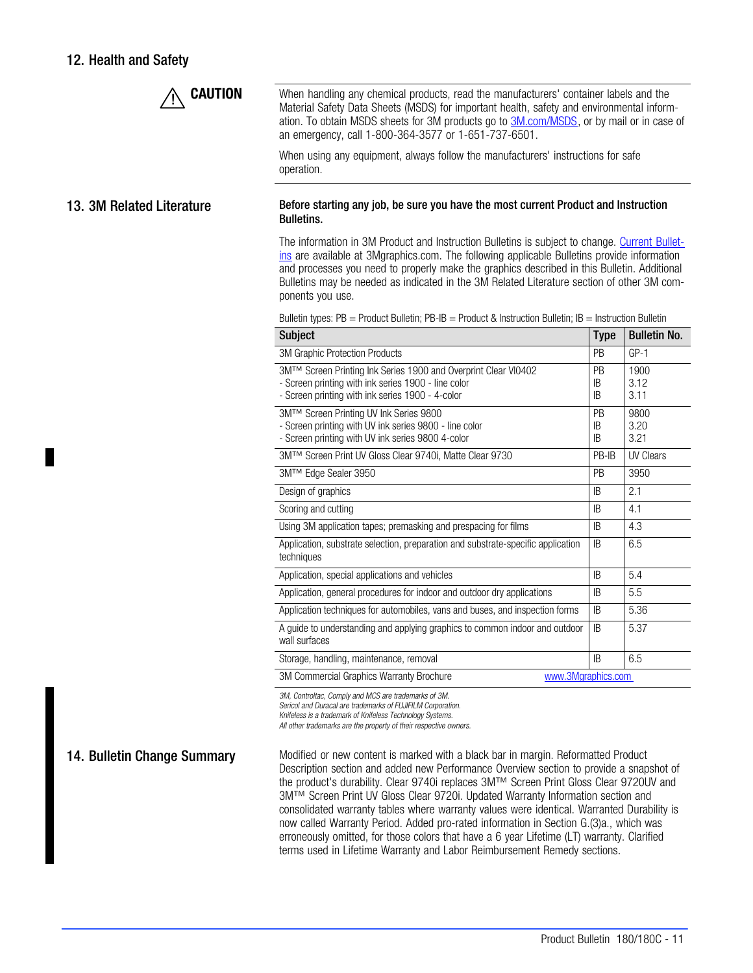# <span id="page-10-0"></span>12. Health and Safety



**CAUTION** When handling any chemical products, read the manufacturers' container labels and the Material Safety Data Sheets (MSDS) for important health, safety and environmental information. To obtain MSDS sheets for 3M products go to **3M.com/MSDS**, or by mail or in case of an emergency, call 1-800-364-3577 or 1-651-737-6501.

> When using any equipment, always follow the manufacturers' instructions for safe operation.

#### 13. 3M Related Literature Before starting any job, be sure you have the most current Product and Instruction Bulletins.

The information in 3M Product and Instruction Bulletins is subject to change. [Current Bullet](http://multimedia.3m.com/mws/mediawebserver?mwsId=66666UuZjcFSLXTtlxM2N8TtEVuQEcuZgVs6EVs6E666666--&fn=CGDIndex.pdf)[ins](http://multimedia.3m.com/mws/mediawebserver?mwsId=66666UuZjcFSLXTtlxM2N8TtEVuQEcuZgVs6EVs6E666666--&fn=CGDIndex.pdf) are available at 3Mgraphics.com. The following applicable Bulletins provide information and processes you need to properly make the graphics described in this Bulletin. Additional Bulletins may be needed as indicated in the 3M Related Literature section of other 3M components you use.

Bulletin types: PB = Product Bulletin; PB-IB = Product & Instruction Bulletin; IB = Instruction Bulletin

| <b>Subject</b>                                                                                                                                                            | <b>Type</b>           | <b>Bulletin No.</b>  |  |  |  |
|---------------------------------------------------------------------------------------------------------------------------------------------------------------------------|-----------------------|----------------------|--|--|--|
| 3M Graphic Protection Products                                                                                                                                            | <b>PB</b>             | $GP-1$               |  |  |  |
| 3M™ Screen Printing Ink Series 1900 and Overprint Clear VI0402<br>- Screen printing with ink series 1900 - line color<br>- Screen printing with ink series 1900 - 4-color | <b>PB</b><br>IB<br>IB | 1900<br>3.12<br>3.11 |  |  |  |
| 3M™ Screen Printing UV Ink Series 9800<br>- Screen printing with UV ink series 9800 - line color<br>- Screen printing with UV ink series 9800 4-color                     | PB<br>IB<br>IB        | 9800<br>3.20<br>3.21 |  |  |  |
| 3M™ Screen Print UV Gloss Clear 9740i, Matte Clear 9730                                                                                                                   | PB-IB                 | <b>UV Clears</b>     |  |  |  |
| 3M™ Edge Sealer 3950                                                                                                                                                      | <b>PB</b>             | 3950                 |  |  |  |
| Design of graphics                                                                                                                                                        | IB                    | 2.1                  |  |  |  |
| Scoring and cutting                                                                                                                                                       | IB                    | 4.1                  |  |  |  |
| Using 3M application tapes; premasking and prespacing for films                                                                                                           | IB                    | 4.3                  |  |  |  |
| Application, substrate selection, preparation and substrate-specific application<br>techniques                                                                            | IB                    | 6.5                  |  |  |  |
| Application, special applications and vehicles                                                                                                                            | IB                    | 5.4                  |  |  |  |
| Application, general procedures for indoor and outdoor dry applications                                                                                                   | IB                    | 5.5                  |  |  |  |
| Application techniques for automobiles, vans and buses, and inspection forms                                                                                              | IB                    | 5.36                 |  |  |  |
| A guide to understanding and applying graphics to common indoor and outdoor<br>wall surfaces                                                                              | IB                    | 5.37                 |  |  |  |
| Storage, handling, maintenance, removal                                                                                                                                   | <b>IB</b>             | 6.5                  |  |  |  |
| 3M Commercial Graphics Warranty Brochure<br>www.3Mgraphics.com                                                                                                            |                       |                      |  |  |  |

3M, Controltac, Comply and MCS are trademarks of 3M.

Sericol and Duracal are trademarks of FUJIFILM Corporation.

Knifeless is a trademark of Knifeless Technology Systems.

All other trademarks are the property of their respective owners.

14. Bulletin Change Summary Modified or new content is marked with a black bar in margin. Reformatted Product Description section and added new Performance Overview section to provide a snapshot of the product's durability. Clear 9740i replaces 3M™ Screen Print Gloss Clear 9720UV and 3M™ Screen Print UV Gloss Clear 9720i. Updated Warranty Information section and consolidated warranty tables where warranty values were identical. Warranted Durability is now called Warranty Period. Added pro-rated information in Section G.(3)a., which was erroneously omitted, for those colors that have a 6 year Lifetime (LT) warranty. Clarified terms used in Lifetime Warranty and Labor Reimbursement Remedy sections.